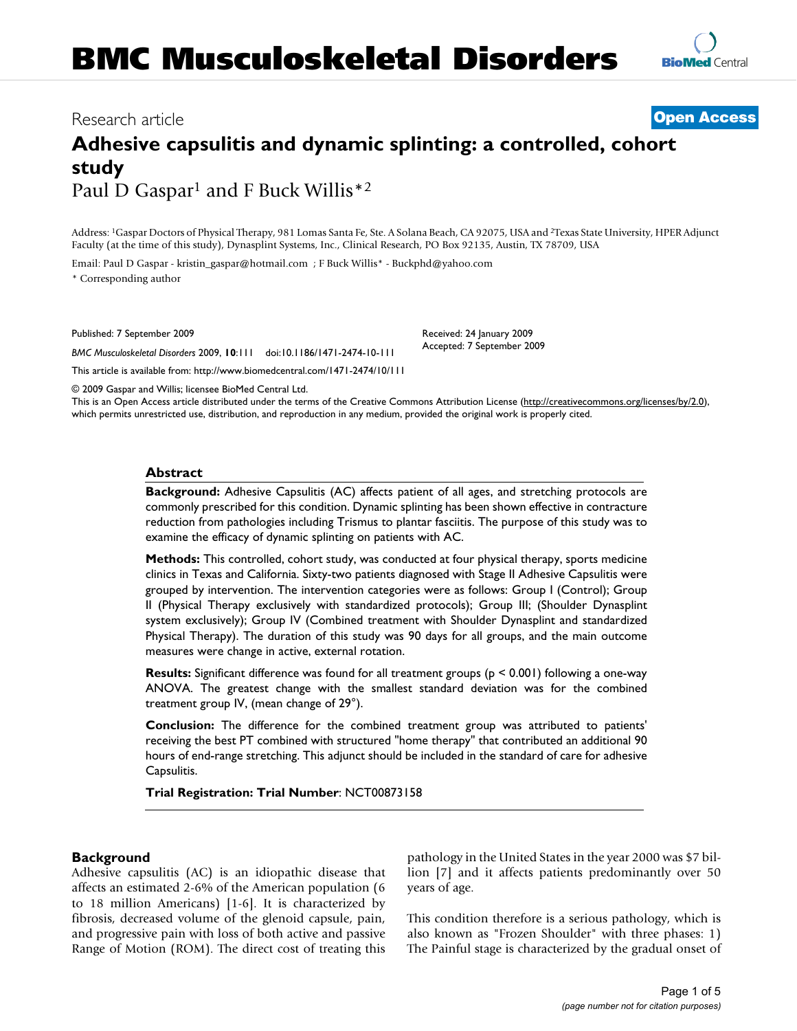# Research article **[Open Access](http://www.biomedcentral.com/info/about/charter/)**

# **Adhesive capsulitis and dynamic splinting: a controlled, cohort study** Paul D Gaspar<sup>1</sup> and F Buck Willis<sup>\*2</sup>

Address: 1Gaspar Doctors of Physical Therapy, 981 Lomas Santa Fe, Ste. A Solana Beach, CA 92075, USA and 2Texas State University, HPER Adjunct Faculty (at the time of this study), Dynasplint Systems, Inc., Clinical Research, PO Box 92135, Austin, TX 78709, USA

Email: Paul D Gaspar - kristin\_gaspar@hotmail.com ; F Buck Willis\* - Buckphd@yahoo.com \* Corresponding author

Published: 7 September 2009

*BMC Musculoskeletal Disorders* 2009, **10**:111 doi:10.1186/1471-2474-10-111

[This article is available from: http://www.biomedcentral.com/1471-2474/10/111](http://www.biomedcentral.com/1471-2474/10/111)

Received: 24 January 2009 Accepted: 7 September 2009

© 2009 Gaspar and Willis; licensee BioMed Central Ltd.

This is an Open Access article distributed under the terms of the Creative Commons Attribution License [\(http://creativecommons.org/licenses/by/2.0\)](http://creativecommons.org/licenses/by/2.0), which permits unrestricted use, distribution, and reproduction in any medium, provided the original work is properly cited.

## **Abstract**

**Background:** Adhesive Capsulitis (AC) affects patient of all ages, and stretching protocols are commonly prescribed for this condition. Dynamic splinting has been shown effective in contracture reduction from pathologies including Trismus to plantar fasciitis. The purpose of this study was to examine the efficacy of dynamic splinting on patients with AC.

**Methods:** This controlled, cohort study, was conducted at four physical therapy, sports medicine clinics in Texas and California. Sixty-two patients diagnosed with Stage II Adhesive Capsulitis were grouped by intervention. The intervention categories were as follows: Group I (Control); Group II (Physical Therapy exclusively with standardized protocols); Group III; (Shoulder Dynasplint system exclusively); Group IV (Combined treatment with Shoulder Dynasplint and standardized Physical Therapy). The duration of this study was 90 days for all groups, and the main outcome measures were change in active, external rotation.

**Results:** Significant difference was found for all treatment groups (p < 0.001) following a one-way ANOVA. The greatest change with the smallest standard deviation was for the combined treatment group IV, (mean change of 29°).

**Conclusion:** The difference for the combined treatment group was attributed to patients' receiving the best PT combined with structured "home therapy" that contributed an additional 90 hours of end-range stretching. This adjunct should be included in the standard of care for adhesive Capsulitis.

**Trial Registration: Trial Number**: NCT00873158

## **Background**

Adhesive capsulitis (AC) is an idiopathic disease that affects an estimated 2-6% of the American population (6 to 18 million Americans) [1-6]. It is characterized by fibrosis, decreased volume of the glenoid capsule, pain, and progressive pain with loss of both active and passive Range of Motion (ROM). The direct cost of treating this pathology in the United States in the year 2000 was \$7 billion [7] and it affects patients predominantly over 50 years of age.

This condition therefore is a serious pathology, which is also known as "Frozen Shoulder" with three phases: 1) The Painful stage is characterized by the gradual onset of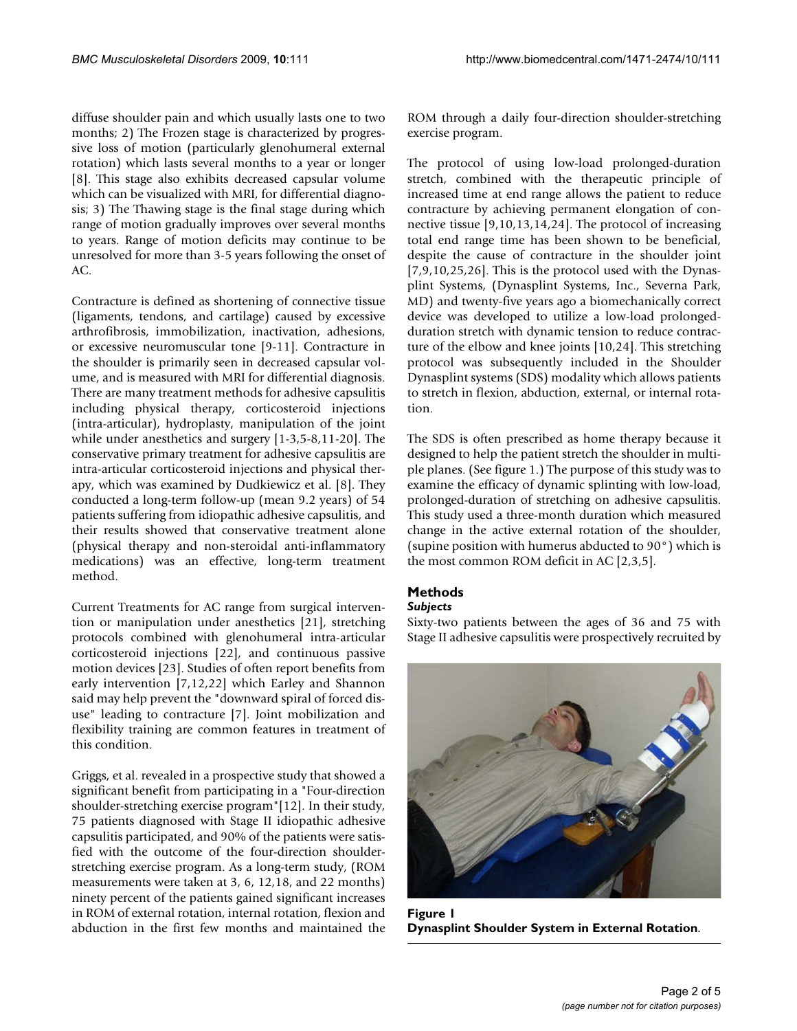diffuse shoulder pain and which usually lasts one to two months; 2) The Frozen stage is characterized by progressive loss of motion (particularly glenohumeral external rotation) which lasts several months to a year or longer [8]. This stage also exhibits decreased capsular volume which can be visualized with MRI, for differential diagnosis; 3) The Thawing stage is the final stage during which range of motion gradually improves over several months to years. Range of motion deficits may continue to be unresolved for more than 3-5 years following the onset of AC.

Contracture is defined as shortening of connective tissue (ligaments, tendons, and cartilage) caused by excessive arthrofibrosis, immobilization, inactivation, adhesions, or excessive neuromuscular tone [9-11]. Contracture in the shoulder is primarily seen in decreased capsular volume, and is measured with MRI for differential diagnosis. There are many treatment methods for adhesive capsulitis including physical therapy, corticosteroid injections (intra-articular), hydroplasty, manipulation of the joint while under anesthetics and surgery [1-3,5-8,11-20]. The conservative primary treatment for adhesive capsulitis are intra-articular corticosteroid injections and physical therapy, which was examined by Dudkiewicz et al. [8]. They conducted a long-term follow-up (mean 9.2 years) of 54 patients suffering from idiopathic adhesive capsulitis, and their results showed that conservative treatment alone (physical therapy and non-steroidal anti-inflammatory medications) was an effective, long-term treatment method.

Current Treatments for AC range from surgical intervention or manipulation under anesthetics [21], stretching protocols combined with glenohumeral intra-articular corticosteroid injections [22], and continuous passive motion devices [23]. Studies of often report benefits from early intervention [7,12,22] which Earley and Shannon said may help prevent the "downward spiral of forced disuse" leading to contracture [7]. Joint mobilization and flexibility training are common features in treatment of this condition.

Griggs, et al. revealed in a prospective study that showed a significant benefit from participating in a "Four-direction shoulder-stretching exercise program"[12]. In their study, 75 patients diagnosed with Stage II idiopathic adhesive capsulitis participated, and 90% of the patients were satisfied with the outcome of the four-direction shoulderstretching exercise program. As a long-term study, (ROM measurements were taken at 3, 6, 12,18, and 22 months) ninety percent of the patients gained significant increases in ROM of external rotation, internal rotation, flexion and abduction in the first few months and maintained the ROM through a daily four-direction shoulder-stretching exercise program.

The protocol of using low-load prolonged-duration stretch, combined with the therapeutic principle of increased time at end range allows the patient to reduce contracture by achieving permanent elongation of connective tissue [9,10,13,14,24]. The protocol of increasing total end range time has been shown to be beneficial, despite the cause of contracture in the shoulder joint [7,9,10,25,26]. This is the protocol used with the Dynasplint Systems, (Dynasplint Systems, Inc., Severna Park, MD) and twenty-five years ago a biomechanically correct device was developed to utilize a low-load prolongedduration stretch with dynamic tension to reduce contracture of the elbow and knee joints [10,24]. This stretching protocol was subsequently included in the Shoulder Dynasplint systems (SDS) modality which allows patients to stretch in flexion, abduction, external, or internal rotation.

The SDS is often prescribed as home therapy because it designed to help the patient stretch the shoulder in multiple planes. (See figure 1.) The purpose of this study was to examine the efficacy of dynamic splinting with low-load, prolonged-duration of stretching on adhesive capsulitis. This study used a three-month duration which measured change in the active external rotation of the shoulder, (supine position with humerus abducted to 90°) which is the most common ROM deficit in AC [2,3,5].

# **Methods**

# *Subjects*

Sixty-two patients between the ages of 36 and 75 with Stage II adhesive capsulitis were prospectively recruited by



**Figure 1 Dynasplint Shoulder System in External Rotation**.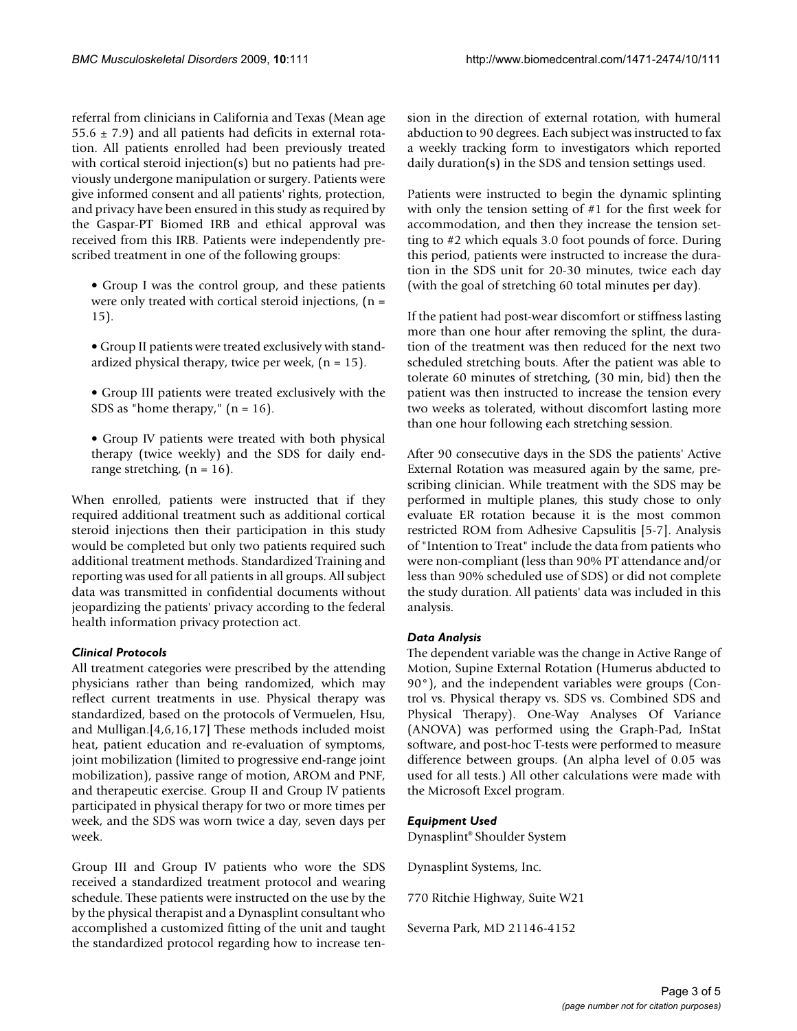referral from clinicians in California and Texas (Mean age  $55.6 \pm 7.9$  and all patients had deficits in external rotation. All patients enrolled had been previously treated with cortical steroid injection(s) but no patients had previously undergone manipulation or surgery. Patients were give informed consent and all patients' rights, protection, and privacy have been ensured in this study as required by the Gaspar-PT Biomed IRB and ethical approval was received from this IRB. Patients were independently prescribed treatment in one of the following groups:

- Group I was the control group, and these patients were only treated with cortical steroid injections,  $(n =$ 15).
- Group II patients were treated exclusively with standardized physical therapy, twice per week,  $(n = 15)$ .
- Group III patients were treated exclusively with the SDS as "home therapy,"  $(n = 16)$ .
- Group IV patients were treated with both physical therapy (twice weekly) and the SDS for daily endrange stretching,  $(n = 16)$ .

When enrolled, patients were instructed that if they required additional treatment such as additional cortical steroid injections then their participation in this study would be completed but only two patients required such additional treatment methods. Standardized Training and reporting was used for all patients in all groups. All subject data was transmitted in confidential documents without jeopardizing the patients' privacy according to the federal health information privacy protection act.

# *Clinical Protocols*

All treatment categories were prescribed by the attending physicians rather than being randomized, which may reflect current treatments in use. Physical therapy was standardized, based on the protocols of Vermuelen, Hsu, and Mulligan.[4,6,16,17] These methods included moist heat, patient education and re-evaluation of symptoms, joint mobilization (limited to progressive end-range joint mobilization), passive range of motion, AROM and PNF, and therapeutic exercise. Group II and Group IV patients participated in physical therapy for two or more times per week, and the SDS was worn twice a day, seven days per week.

Group III and Group IV patients who wore the SDS received a standardized treatment protocol and wearing schedule. These patients were instructed on the use by the by the physical therapist and a Dynasplint consultant who accomplished a customized fitting of the unit and taught the standardized protocol regarding how to increase tension in the direction of external rotation, with humeral abduction to 90 degrees. Each subject was instructed to fax a weekly tracking form to investigators which reported daily duration(s) in the SDS and tension settings used.

Patients were instructed to begin the dynamic splinting with only the tension setting of #1 for the first week for accommodation, and then they increase the tension setting to #2 which equals 3.0 foot pounds of force. During this period, patients were instructed to increase the duration in the SDS unit for 20-30 minutes, twice each day (with the goal of stretching 60 total minutes per day).

If the patient had post-wear discomfort or stiffness lasting more than one hour after removing the splint, the duration of the treatment was then reduced for the next two scheduled stretching bouts. After the patient was able to tolerate 60 minutes of stretching, (30 min, bid) then the patient was then instructed to increase the tension every two weeks as tolerated, without discomfort lasting more than one hour following each stretching session.

After 90 consecutive days in the SDS the patients' Active External Rotation was measured again by the same, prescribing clinician. While treatment with the SDS may be performed in multiple planes, this study chose to only evaluate ER rotation because it is the most common restricted ROM from Adhesive Capsulitis [5-7]. Analysis of "Intention to Treat" include the data from patients who were non-compliant (less than 90% PT attendance and/or less than 90% scheduled use of SDS) or did not complete the study duration. All patients' data was included in this analysis.

# *Data Analysis*

The dependent variable was the change in Active Range of Motion, Supine External Rotation (Humerus abducted to 90°), and the independent variables were groups (Control vs. Physical therapy vs. SDS vs. Combined SDS and Physical Therapy). One-Way Analyses Of Variance (ANOVA) was performed using the Graph-Pad, InStat software, and post-hoc T-tests were performed to measure difference between groups. (An alpha level of 0.05 was used for all tests.) All other calculations were made with the Microsoft Excel program.

# *Equipment Used*

Dynasplint® Shoulder System

Dynasplint Systems, Inc.

770 Ritchie Highway, Suite W21

Severna Park, MD 21146-4152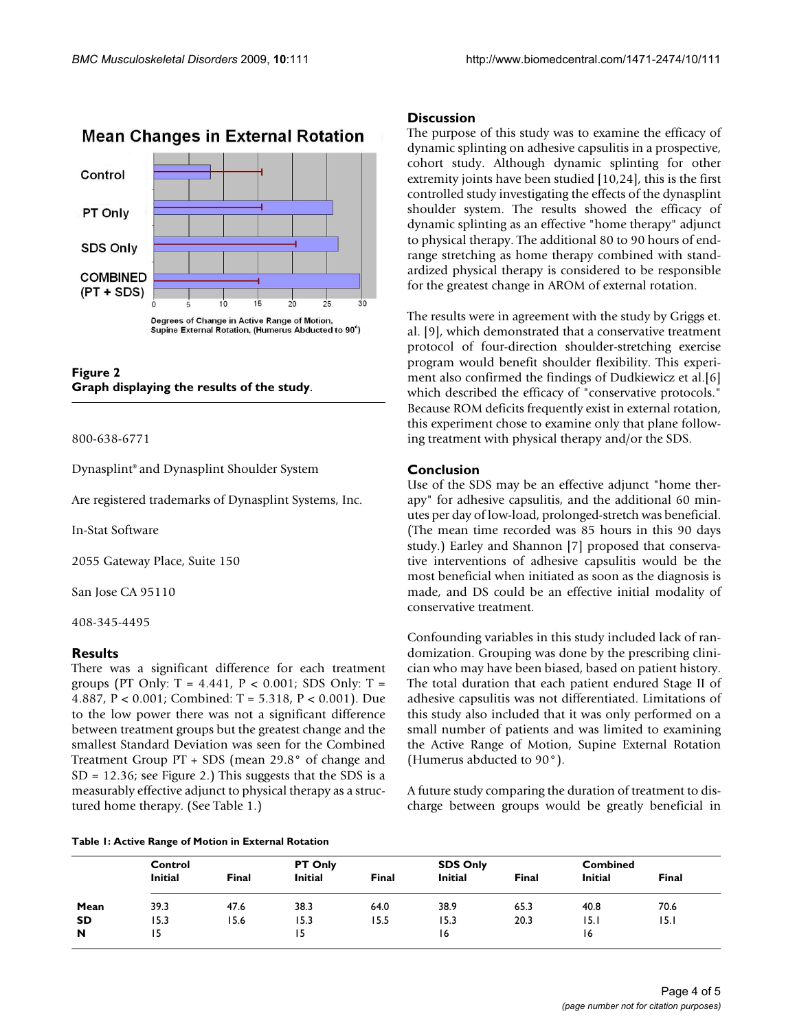

# **Mean Changes in External Rotation**

**Figure 2 Graph displaying the results of the study**.

#### 800-638-6771

Dynasplint® and Dynasplint Shoulder System

Are registered trademarks of Dynasplint Systems, Inc.

In-Stat Software

2055 Gateway Place, Suite 150

San Jose CA 95110

408-345-4495

## **Results**

There was a significant difference for each treatment groups (PT Only:  $T = 4.441$ ,  $P < 0.001$ ; SDS Only:  $T =$ 4.887, P < 0.001; Combined: T = 5.318, P < 0.001). Due to the low power there was not a significant difference between treatment groups but the greatest change and the smallest Standard Deviation was seen for the Combined Treatment Group PT + SDS (mean 29.8° of change and  $SD = 12.36$ ; see Figure 2.) This suggests that the SDS is a measurably effective adjunct to physical therapy as a structured home therapy. (See Table 1.)

#### **Table 1: Active Range of Motion in External Rotation**

# **Discussion**

The purpose of this study was to examine the efficacy of dynamic splinting on adhesive capsulitis in a prospective, cohort study. Although dynamic splinting for other extremity joints have been studied [10,24], this is the first controlled study investigating the effects of the dynasplint shoulder system. The results showed the efficacy of dynamic splinting as an effective "home therapy" adjunct to physical therapy. The additional 80 to 90 hours of endrange stretching as home therapy combined with standardized physical therapy is considered to be responsible for the greatest change in AROM of external rotation.

The results were in agreement with the study by Griggs et. al. [9], which demonstrated that a conservative treatment protocol of four-direction shoulder-stretching exercise program would benefit shoulder flexibility. This experiment also confirmed the findings of Dudkiewicz et al.[6] which described the efficacy of "conservative protocols." Because ROM deficits frequently exist in external rotation, this experiment chose to examine only that plane following treatment with physical therapy and/or the SDS.

#### **Conclusion**

Use of the SDS may be an effective adjunct "home therapy" for adhesive capsulitis, and the additional 60 minutes per day of low-load, prolonged-stretch was beneficial. (The mean time recorded was 85 hours in this 90 days study.) Earley and Shannon [7] proposed that conservative interventions of adhesive capsulitis would be the most beneficial when initiated as soon as the diagnosis is made, and DS could be an effective initial modality of conservative treatment.

Confounding variables in this study included lack of randomization. Grouping was done by the prescribing clinician who may have been biased, based on patient history. The total duration that each patient endured Stage II of adhesive capsulitis was not differentiated. Limitations of this study also included that it was only performed on a small number of patients and was limited to examining the Active Range of Motion, Supine External Rotation (Humerus abducted to 90°).

A future study comparing the duration of treatment to discharge between groups would be greatly beneficial in

|           | Control<br><b>Initial</b><br>Final |      | PT Only<br><b>Initial</b><br><b>Final</b> |      | <b>SDS Only</b><br><b>Initial</b><br><b>Final</b> |      | <b>Combined</b><br><b>Initial</b><br>Final |      |
|-----------|------------------------------------|------|-------------------------------------------|------|---------------------------------------------------|------|--------------------------------------------|------|
| Mean      | 39.3                               | 47.6 | 38.3                                      | 64.0 | 38.9                                              | 65.3 | 40.8                                       | 70.6 |
| <b>SD</b> | 15.3                               | 15.6 | 15.3                                      | 15.5 | 15.3                                              | 20.3 | 15.1                                       | 15.I |
| N         | 15                                 |      | 15                                        |      | 16                                                |      | 16                                         |      |